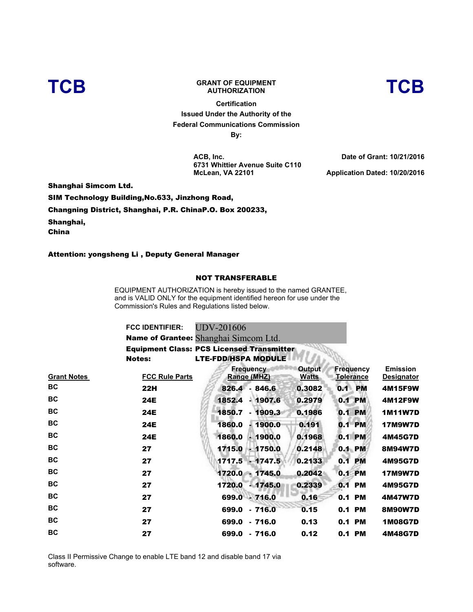

## **TCB GRANT OF EQUIPMENT**

**Certification Issued Under the Authority of the Federal Communications Commission By:**

**ACB, Inc. 6731 Whittier Avenue Suite C110 McLean, VA 22101**

**Date of Grant: 10/21/2016 Application Dated: 10/20/2016** 

**AUTHORIZATION TCB**

Shanghai Simcom Ltd.

SIM Technology Building,No.633, Jinzhong Road,

Changning District, Shanghai, P.R. ChinaP.O. Box 200233,

Shanghai,

China

Attention: yongsheng Li , Deputy General Manager

## NOT TRANSFERABLE

EQUIPMENT AUTHORIZATION is hereby issued to the named GRANTEE, and is VALID ONLY for the equipment identified hereon for use under the Commission's Rules and Regulations listed below.

| <b>FCC IDENTIFIER:</b> | UDV-201606                                       |
|------------------------|--------------------------------------------------|
|                        | Name of Grantee: Shanghai Simcom Ltd.            |
|                        | <b>Equipment Class: PCS Licensed Transmitter</b> |
| Notes:                 | <b>LTE-FDD/HSPA MODULE</b>                       |
|                        |                                                  |

| <b>Grant Notes</b> | <b>FCC Rule Parts</b> | <b>Frequency</b><br>Range (MHZ) | <b>Output</b><br><b>Watts</b> | <b>Frequency</b><br><b>Tolerance</b> | <b>Emission</b><br><b>Designator</b> |
|--------------------|-----------------------|---------------------------------|-------------------------------|--------------------------------------|--------------------------------------|
| BC                 | 22H                   | 826.4 - 846.6                   | 0.3082                        | <b>PM</b><br>0.1                     | 4M15F9W                              |
| BC                 | 24E                   | 1852.4<br>$-1907.6$             | 0.2979                        | 0.1 PM                               | <b>4M12F9W</b>                       |
| BC                 | <b>24E</b>            | 1850.7<br>$-1909.3$             | 0.1986                        | 0.1 PM                               | <b>1M11W7D</b>                       |
| BC                 | <b>24E</b>            | 1860.0<br>$-1900.0$             | 0.191                         | 0.1 PM                               | <b>17M9W7D</b>                       |
| BC                 | 24E                   | 1860.0<br>$-1900.0$             | 0.1968                        | 0.1 PM                               | 4M45G7D                              |
| BC                 | 27                    | 1715.0 - 1750.0                 | 0.2148                        | 0.1 PM                               | 8M94W7D                              |
| BC                 | 27                    | $1717.5 - 1747.5$               | 0.2133                        | 0.1 PM                               | 4M95G7D                              |
| BC                 | 27                    | $1720.0 - 1745.0$               | 0.2042                        | 0.1 PM                               | <b>17M9W7D</b>                       |
| BC                 | 27                    | 1720.0 - 1745.0                 | 0.2339                        | 0.1 PM                               | 4M95G7D                              |
| BC                 | 27                    | 699.0 - 716.0                   | 0.16                          | 0.1 PM                               | 4M47W7D                              |
| <b>BC</b>          | 27                    | 699.0 - 716.0                   | 0.15                          | 0.1 PM                               | 8M90W7D                              |
| BC                 | 27                    | 699.0 - 716.0                   | 0.13                          | 0.1 PM                               | <b>1M08G7D</b>                       |
| BC                 | 27                    | 699.0 - 716.0                   | 0.12                          | 0.1 PM                               | <b>4M48G7D</b>                       |

Class II Permissive Change to enable LTE band 12 and disable band 17 via software.